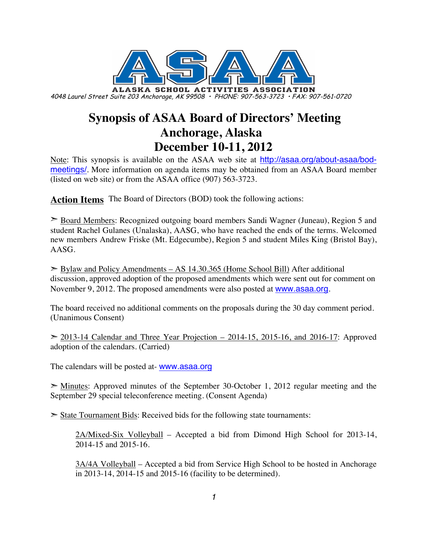

4048 Laurel Street Suite 203 Anchorage, AK 99508 • PHONE: 907-563-3723 • FAX: 907-561-0720

# **Synopsis of ASAA Board of Directors' Meeting Anchorage, Alaska December 10-11, 2012**

Note: This synopsis is available on the ASAA web site at http://asaa.org/about-asaa/bodmeetings/. More information on agenda items may be obtained from an ASAA Board member (listed on web site) or from the ASAA office (907) 563-3723.

**Action Items** The Board of Directors (BOD) took the following actions:

➣ Board Members: Recognized outgoing board members Sandi Wagner (Juneau), Region 5 and student Rachel Gulanes (Unalaska), AASG, who have reached the ends of the terms. Welcomed new members Andrew Friske (Mt. Edgecumbe), Region 5 and student Miles King (Bristol Bay), AASG.

 $\geq$  Bylaw and Policy Amendments – AS 14.30.365 (Home School Bill) After additional discussion, approved adoption of the proposed amendments which were sent out for comment on November 9, 2012. The proposed amendments were also posted at www.asaa.org.

The board received no additional comments on the proposals during the 30 day comment period. (Unanimous Consent)

 $>$  2013-14 Calendar and Three Year Projection – 2014-15, 2015-16, and 2016-17: Approved adoption of the calendars. (Carried)

The calendars will be posted at- **www.asaa.org** 

 $\geq$  Minutes: Approved minutes of the September 30-October 1, 2012 regular meeting and the September 29 special teleconference meeting. (Consent Agenda)

 $\triangleright$  State Tournament Bids: Received bids for the following state tournaments:

2A/Mixed-Six Volleyball – Accepted a bid from Dimond High School for 2013-14, 2014-15 and 2015-16.

3A/4A Volleyball – Accepted a bid from Service High School to be hosted in Anchorage in 2013-14, 2014-15 and 2015-16 (facility to be determined).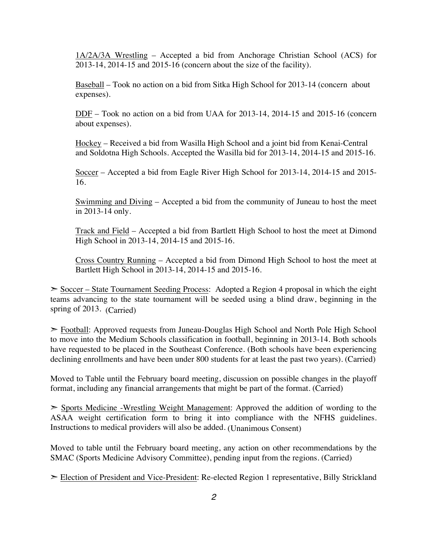1A/2A/3A Wrestling – Accepted a bid from Anchorage Christian School (ACS) for 2013-14, 2014-15 and 2015-16 (concern about the size of the facility).

Baseball – Took no action on a bid from Sitka High School for 2013-14 (concern about expenses).

DDF – Took no action on a bid from UAA for 2013-14, 2014-15 and 2015-16 (concern about expenses).

Hockey – Received a bid from Wasilla High School and a joint bid from Kenai-Central and Soldotna High Schools. Accepted the Wasilla bid for 2013-14, 2014-15 and 2015-16.

Soccer – Accepted a bid from Eagle River High School for 2013-14, 2014-15 and 2015- 16.

Swimming and Diving – Accepted a bid from the community of Juneau to host the meet in 2013-14 only.

Track and Field – Accepted a bid from Bartlett High School to host the meet at Dimond High School in 2013-14, 2014-15 and 2015-16.

Cross Country Running – Accepted a bid from Dimond High School to host the meet at Bartlett High School in 2013-14, 2014-15 and 2015-16.

➣ Soccer – State Tournament Seeding Process: Adopted a Region 4 proposal in which the eight teams advancing to the state tournament will be seeded using a blind draw, beginning in the spring of 2013. (Carried)

➣ Football: Approved requests from Juneau-Douglas High School and North Pole High School to move into the Medium Schools classification in football, beginning in 2013-14. Both schools have requested to be placed in the Southeast Conference. (Both schools have been experiencing declining enrollments and have been under 800 students for at least the past two years). (Carried)

Moved to Table until the February board meeting, discussion on possible changes in the playoff format, including any financial arrangements that might be part of the format. (Carried)

➣ Sports Medicine -Wrestling Weight Management: Approved the addition of wording to the ASAA weight certification form to bring it into compliance with the NFHS guidelines. Instructions to medical providers will also be added. (Unanimous Consent)

Moved to table until the February board meeting, any action on other recommendations by the SMAC (Sports Medicine Advisory Committee), pending input from the regions. (Carried)

► Election of President and Vice-President: Re-elected Region 1 representative, Billy Strickland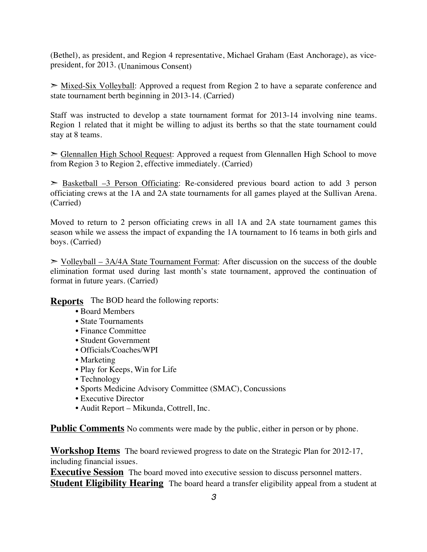(Bethel), as president, and Region 4 representative, Michael Graham (East Anchorage), as vicepresident, for 2013. (Unanimous Consent)

 $\geq$  Mixed-Six Volleyball: Approved a request from Region 2 to have a separate conference and state tournament berth beginning in 2013-14. (Carried)

Staff was instructed to develop a state tournament format for 2013-14 involving nine teams. Region 1 related that it might be willing to adjust its berths so that the state tournament could stay at 8 teams.

➣ Glennallen High School Request: Approved a request from Glennallen High School to move from Region 3 to Region 2, effective immediately. (Carried)

 $\geq$  Basketball –3 Person Officiating: Re-considered previous board action to add 3 person officiating crews at the 1A and 2A state tournaments for all games played at the Sullivan Arena. (Carried)

Moved to return to 2 person officiating crews in all 1A and 2A state tournament games this season while we assess the impact of expanding the 1A tournament to 16 teams in both girls and boys. (Carried)

 $>$  Volleyball – 3A/4A State Tournament Format: After discussion on the success of the double elimination format used during last month's state tournament, approved the continuation of format in future years. (Carried)

**Reports** The BOD heard the following reports:

- Board Members
- State Tournaments
- Finance Committee
- Student Government
- Officials/Coaches/WPI
- Marketing
- Play for Keeps, Win for Life
- Technology
- Sports Medicine Advisory Committee (SMAC), Concussions
- Executive Director
- Audit Report Mikunda, Cottrell, Inc.

**Public Comments** No comments were made by the public, either in person or by phone.

**Workshop Items** The board reviewed progress to date on the Strategic Plan for 2012-17, including financial issues.

**Executive Session** The board moved into executive session to discuss personnel matters. **Student Eligibility Hearing** The board heard a transfer eligibility appeal from a student at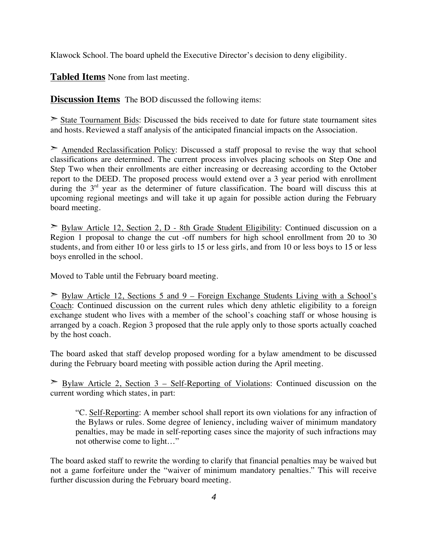Klawock School. The board upheld the Executive Director's decision to deny eligibility.

**Tabled Items** None from last meeting.

**Discussion Items** The BOD discussed the following items:

➣ State Tournament Bids: Discussed the bids received to date for future state tournament sites and hosts. Reviewed a staff analysis of the anticipated financial impacts on the Association.

 $\geq$  Amended Reclassification Policy: Discussed a staff proposal to revise the way that school classifications are determined. The current process involves placing schools on Step One and Step Two when their enrollments are either increasing or decreasing according to the October report to the DEED. The proposed process would extend over a 3 year period with enrollment during the 3<sup>rd</sup> year as the determiner of future classification. The board will discuss this at upcoming regional meetings and will take it up again for possible action during the February board meeting.

➣ Bylaw Article 12, Section 2, D - 8th Grade Student Eligibility: Continued discussion on a Region 1 proposal to change the cut -off numbers for high school enrollment from 20 to 30 students, and from either 10 or less girls to 15 or less girls, and from 10 or less boys to 15 or less boys enrolled in the school.

Moved to Table until the February board meeting.

 $\geq$  Bylaw Article 12, Sections 5 and 9 – Foreign Exchange Students Living with a School's Coach: Continued discussion on the current rules which deny athletic eligibility to a foreign exchange student who lives with a member of the school's coaching staff or whose housing is arranged by a coach. Region 3 proposed that the rule apply only to those sports actually coached by the host coach.

The board asked that staff develop proposed wording for a bylaw amendment to be discussed during the February board meeting with possible action during the April meeting.

 $\geq$  Bylaw Article 2, Section 3 – Self-Reporting of Violations: Continued discussion on the current wording which states, in part:

"C. Self-Reporting: A member school shall report its own violations for any infraction of the Bylaws or rules. Some degree of leniency, including waiver of minimum mandatory penalties, may be made in self-reporting cases since the majority of such infractions may not otherwise come to light…"

The board asked staff to rewrite the wording to clarify that financial penalties may be waived but not a game forfeiture under the "waiver of minimum mandatory penalties." This will receive further discussion during the February board meeting.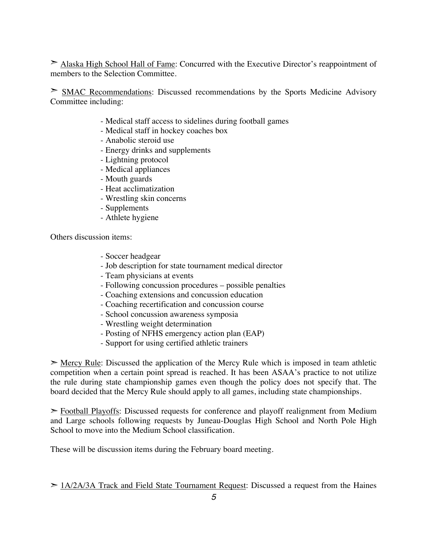➣ Alaska High School Hall of Fame: Concurred with the Executive Director's reappointment of members to the Selection Committee.

➣ SMAC Recommendations: Discussed recommendations by the Sports Medicine Advisory Committee including:

- Medical staff access to sidelines during football games
- Medical staff in hockey coaches box
- Anabolic steroid use
- Energy drinks and supplements
- Lightning protocol
- Medical appliances
- Mouth guards
- Heat acclimatization
- Wrestling skin concerns
- Supplements
- Athlete hygiene

Others discussion items:

- Soccer headgear
- Job description for state tournament medical director
- Team physicians at events
- Following concussion procedures possible penalties
- Coaching extensions and concussion education
- Coaching recertification and concussion course
- School concussion awareness symposia
- Wrestling weight determination
- Posting of NFHS emergency action plan (EAP)
- Support for using certified athletic trainers

 $\geq$  Mercy Rule: Discussed the application of the Mercy Rule which is imposed in team athletic competition when a certain point spread is reached. It has been ASAA's practice to not utilize the rule during state championship games even though the policy does not specify that. The board decided that the Mercy Rule should apply to all games, including state championships.

➣ Football Playoffs: Discussed requests for conference and playoff realignment from Medium and Large schools following requests by Juneau-Douglas High School and North Pole High School to move into the Medium School classification.

These will be discussion items during the February board meeting.

 $> 1A/2A/3A$  Track and Field State Tournament Request: Discussed a request from the Haines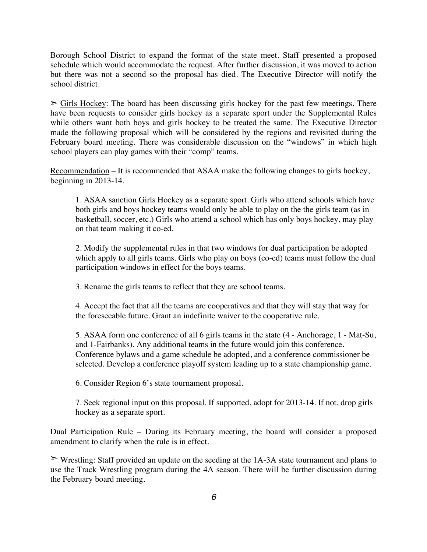Borough School District to expand the format of the state meet. Staff presented a proposed schedule which would accommodate the request. After further discussion, it was moved to action but there was not a second so the proposal has died. The Executive Director will notify the school district.

 $\geq$  Girls Hockey: The board has been discussing girls hockey for the past few meetings. There have been requests to consider girls hockey as a separate sport under the Supplemental Rules while others want both boys and girls hockey to be treated the same. The Executive Director made the following proposal which will be considered by the regions and revisited during the February board meeting. There was considerable discussion on the "windows" in which high school players can play games with their "comp" teams.

Recommendation – It is recommended that ASAA make the following changes to girls hockey, beginning in 2013-14.

1. ASAA sanction Girls Hockey as a separate sport. Girls who attend schools which have both girls and boys hockey teams would only be able to play on the the girls team (as in basketball, soccer, etc.) Girls who attend a school which has only boys hockey, may play on that team making it co-ed.

2. Modify the supplemental rules in that two windows for dual participation be adopted which apply to all girls teams. Girls who play on boys (co-ed) teams must follow the dual participation windows in effect for the boys teams.

3. Rename the girls teams to reflect that they are school teams.

4. Accept the fact that all the teams are cooperatives and that they will stay that way for the foreseeable future. Grant an indefinite waiver to the cooperative rule.

5. ASAA form one conference of all 6 girls teams in the state (4 - Anchorage, 1 - Mat-Su, and 1-Fairbanks). Any additional teams in the future would join this conference. Conference bylaws and a game schedule be adopted, and a conference commissioner be selected. Develop a conference playoff system leading up to a state championship game.

6. Consider Region 6's state tournament proposal.

7. Seek regional input on this proposal. If supported, adopt for 2013-14. If not, drop girls hockey as a separate sport.

Dual Participation Rule – During its February meeting, the board will consider a proposed amendment to clarify when the rule is in effect.

➣ Wrestling: Staff provided an update on the seeding at the 1A-3A state tournament and plans to use the Track Wrestling program during the 4A season. There will be further discussion during the February board meeting.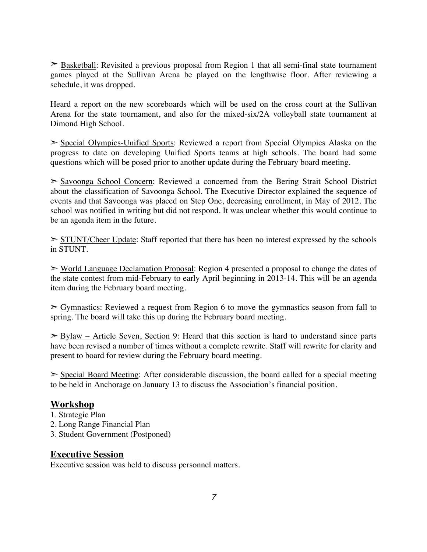$\geq$  Basketball: Revisited a previous proposal from Region 1 that all semi-final state tournament games played at the Sullivan Arena be played on the lengthwise floor. After reviewing a schedule, it was dropped.

Heard a report on the new scoreboards which will be used on the cross court at the Sullivan Arena for the state tournament, and also for the mixed-six/2A volleyball state tournament at Dimond High School.

➣ Special Olympics-Unified Sports: Reviewed a report from Special Olympics Alaska on the progress to date on developing Unified Sports teams at high schools. The board had some questions which will be posed prior to another update during the February board meeting.

➣ Savoonga School Concern: Reviewed a concerned from the Bering Strait School District about the classification of Savoonga School. The Executive Director explained the sequence of events and that Savoonga was placed on Step One, decreasing enrollment, in May of 2012. The school was notified in writing but did not respond. It was unclear whether this would continue to be an agenda item in the future.

 $\geq$  STUNT/Cheer Update: Staff reported that there has been no interest expressed by the schools in STUNT.

➣ World Language Declamation Proposal: Region 4 presented a proposal to change the dates of the state contest from mid-February to early April beginning in 2013-14. This will be an agenda item during the February board meeting.

 $\geq$  Gymnastics: Reviewed a request from Region 6 to move the gymnastics season from fall to spring. The board will take this up during the February board meeting.

 $\geq$  Bylaw – Article Seven, Section 9: Heard that this section is hard to understand since parts have been revised a number of times without a complete rewrite. Staff will rewrite for clarity and present to board for review during the February board meeting.

 $\geq$  Special Board Meeting: After considerable discussion, the board called for a special meeting to be held in Anchorage on January 13 to discuss the Association's financial position.

# **Workshop**

- 1. Strategic Plan
- 2. Long Range Financial Plan
- 3. Student Government (Postponed)

## **Executive Session**

Executive session was held to discuss personnel matters.